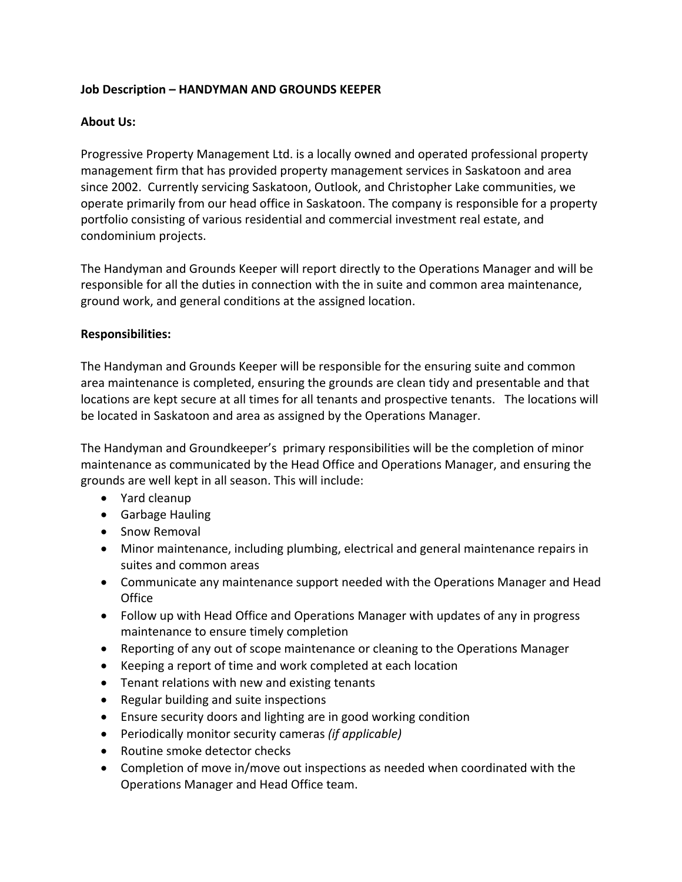# **Job Description – HANDYMAN AND GROUNDS KEEPER**

## **About Us:**

Progressive Property Management Ltd. is a locally owned and operated professional property management firm that has provided property management services in Saskatoon and area since 2002. Currently servicing Saskatoon, Outlook, and Christopher Lake communities, we operate primarily from our head office in Saskatoon. The company is responsible for a property portfolio consisting of various residential and commercial investment real estate, and condominium projects.

The Handyman and Grounds Keeper will report directly to the Operations Manager and will be responsible for all the duties in connection with the in suite and common area maintenance, ground work, and general conditions at the assigned location.

### **Responsibilities:**

The Handyman and Grounds Keeper will be responsible for the ensuring suite and common area maintenance is completed, ensuring the grounds are clean tidy and presentable and that locations are kept secure at all times for all tenants and prospective tenants. The locations will be located in Saskatoon and area as assigned by the Operations Manager.

The Handyman and Groundkeeper's primary responsibilities will be the completion of minor maintenance as communicated by the Head Office and Operations Manager, and ensuring the grounds are well kept in all season. This will include:

- Yard cleanup
- Garbage Hauling
- Snow Removal
- Minor maintenance, including plumbing, electrical and general maintenance repairs in suites and common areas
- Communicate any maintenance support needed with the Operations Manager and Head **Office**
- Follow up with Head Office and Operations Manager with updates of any in progress maintenance to ensure timely completion
- Reporting of any out of scope maintenance or cleaning to the Operations Manager
- Keeping a report of time and work completed at each location
- Tenant relations with new and existing tenants
- Regular building and suite inspections
- Ensure security doors and lighting are in good working condition
- Periodically monitor security cameras *(if applicable)*
- Routine smoke detector checks
- Completion of move in/move out inspections as needed when coordinated with the Operations Manager and Head Office team.